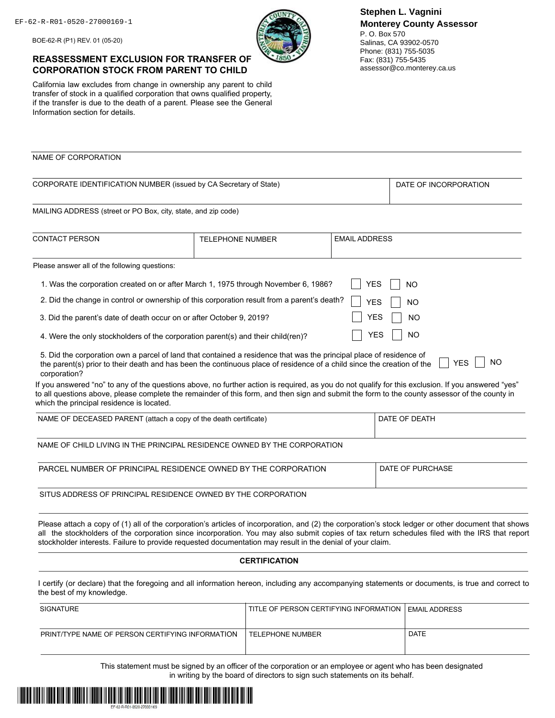BOE-62-R (P1) REV. 01 (05-20)

## **REASSESSMENT EXCLUSION FOR TRANSFER OF CORPORATION STOCK FROM PARENT TO CHILD**

California law excludes from change in ownership any parent to child transfer of stock in a qualified corporation that owns qualified property, if the transfer is due to the death of a parent. Please see the General Information section for details.

P. O. Box 570 Salinas, CA 93902-0570 Phone: (831) 755-5035 Fax: (831) 755-5435 assessor@co.monterey.ca.us

| NAME OF CORPORATION                                                                                                                                                                                                                                                                                                                                                                                                |                         |                      |                      |                         |
|--------------------------------------------------------------------------------------------------------------------------------------------------------------------------------------------------------------------------------------------------------------------------------------------------------------------------------------------------------------------------------------------------------------------|-------------------------|----------------------|----------------------|-------------------------|
|                                                                                                                                                                                                                                                                                                                                                                                                                    |                         |                      |                      |                         |
| CORPORATE IDENTIFICATION NUMBER (issued by CA Secretary of State)                                                                                                                                                                                                                                                                                                                                                  |                         |                      |                      | DATE OF INCORPORATION   |
| MAILING ADDRESS (street or PO Box, city, state, and zip code)                                                                                                                                                                                                                                                                                                                                                      |                         |                      |                      |                         |
| <b>CONTACT PERSON</b>                                                                                                                                                                                                                                                                                                                                                                                              | <b>TELEPHONE NUMBER</b> |                      | <b>EMAIL ADDRESS</b> |                         |
| Please answer all of the following questions:                                                                                                                                                                                                                                                                                                                                                                      |                         |                      |                      |                         |
| 1. Was the corporation created on or after March 1, 1975 through November 6, 1986?                                                                                                                                                                                                                                                                                                                                 |                         |                      | <b>YES</b>           | <b>NO</b>               |
| 2. Did the change in control or ownership of this corporation result from a parent's death?                                                                                                                                                                                                                                                                                                                        |                         |                      | <b>YES</b>           | <b>NO</b>               |
| 3. Did the parent's date of death occur on or after October 9, 2019?                                                                                                                                                                                                                                                                                                                                               |                         |                      | YES                  | <b>NO</b>               |
| 4. Were the only stockholders of the corporation parent(s) and their child(ren)?                                                                                                                                                                                                                                                                                                                                   |                         |                      | YES                  | <b>NO</b>               |
| 5. Did the corporation own a parcel of land that contained a residence that was the principal place of residence of<br>the parent(s) prior to their death and has been the continuous place of residence of a child since the creation of the<br>corporation?                                                                                                                                                      |                         |                      |                      | <b>NO</b><br><b>YES</b> |
| If you answered "no" to any of the questions above, no further action is required, as you do not qualify for this exclusion. If you answered "yes"<br>to all questions above, please complete the remainder of this form, and then sign and submit the form to the county assessor of the county in<br>which the principal residence is located.                                                                   |                         |                      |                      |                         |
| NAME OF DECEASED PARENT (attach a copy of the death certificate)                                                                                                                                                                                                                                                                                                                                                   |                         |                      |                      | DATE OF DEATH           |
| NAME OF CHILD LIVING IN THE PRINCIPAL RESIDENCE OWNED BY THE CORPORATION                                                                                                                                                                                                                                                                                                                                           |                         |                      |                      |                         |
| PARCEL NUMBER OF PRINCIPAL RESIDENCE OWNED BY THE CORPORATION                                                                                                                                                                                                                                                                                                                                                      |                         |                      |                      | DATE OF PURCHASE        |
| SITUS ADDRESS OF PRINCIPAL RESIDENCE OWNED BY THE CORPORATION                                                                                                                                                                                                                                                                                                                                                      |                         |                      |                      |                         |
| Please attach a copy of (1) all of the corporation's articles of incorporation, and (2) the corporation's stock ledger or other document that shows<br>all the stockholders of the corporation since incorporation. You may also submit copies of tax return schedules filed with the IRS that report<br>stockholder interests. Failure to provide requested documentation may result in the denial of your claim. |                         |                      |                      |                         |
|                                                                                                                                                                                                                                                                                                                                                                                                                    |                         | <b>CERTIFICATION</b> |                      |                         |
|                                                                                                                                                                                                                                                                                                                                                                                                                    |                         |                      |                      |                         |
| I certify (or declare) that the foregoing and all information hereon, including any accompanying statements or documents, is true and correct to<br>the best of my knowledge.                                                                                                                                                                                                                                      |                         |                      |                      |                         |

This statement must be signed by an officer of the corporation or an employee or agent who has been designated in writing by the board of directors to sign such statements on its behalf.

PRINT/TYPE NAME OF PERSON CERTIFYING INFORMATION TELEPHONE NUMBER DATE